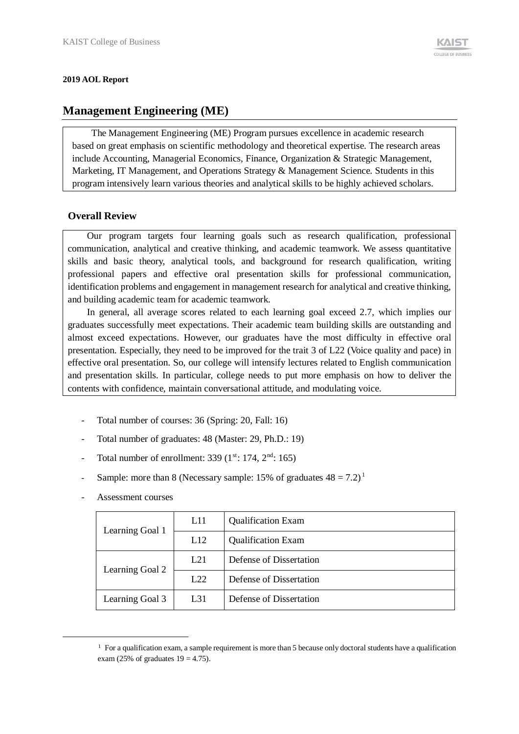#### **2019 AOL Report**

# **Management Engineering (ME)**

The Management Engineering (ME) Program pursues excellence in academic research based on great emphasis on scientific methodology and theoretical expertise. The research areas include Accounting, Managerial Economics, Finance, Organization & Strategic Management, Marketing, IT Management, and Operations Strategy & Management Science. Students in this program intensively learn various theories and analytical skills to be highly achieved scholars.

### **Overall Review**

Our program targets four learning goals such as research qualification, professional communication, analytical and creative thinking, and academic teamwork. We assess quantitative skills and basic theory, analytical tools, and background for research qualification, writing professional papers and effective oral presentation skills for professional communication, identification problems and engagement in management research for analytical and creative thinking, and building academic team for academic teamwork.

In general, all average scores related to each learning goal exceed 2.7, which implies our graduates successfully meet expectations. Their academic team building skills are outstanding and almost exceed expectations. However, our graduates have the most difficulty in effective oral presentation. Especially, they need to be improved for the trait 3 of L22 (Voice quality and pace) in effective oral presentation. So, our college will intensify lectures related to English communication and presentation skills. In particular, college needs to put more emphasis on how to deliver the contents with confidence, maintain conversational attitude, and modulating voice.

- Total number of courses: 36 (Spring: 20, Fall: 16)
- Total number of graduates: 48 (Master: 29, Ph.D.: 19)
- Total number of enrollment: 339  $(1<sup>st</sup>: 174, 2<sup>nd</sup>: 165)$
- Sample: more than 8 (Necessary sample: 15% of graduates  $48 = 7.2$ )<sup>1</sup>
- Assessment courses

-

| Learning Goal 1 | L11 | <b>Qualification Exam</b> |
|-----------------|-----|---------------------------|
|                 | L12 | <b>Qualification Exam</b> |
|                 | L21 | Defense of Dissertation   |
| Learning Goal 2 | L22 | Defense of Dissertation   |
| Learning Goal 3 | L31 | Defense of Dissertation   |

 $1$  For a qualification exam, a sample requirement is more than 5 because only doctoral students have a qualification exam (25% of graduates  $19 = 4.75$ ).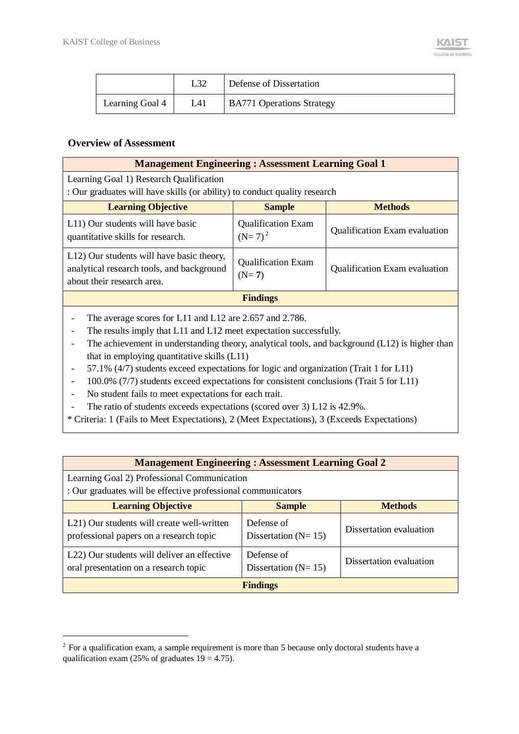|                 |     | Defense of Dissertation          |
|-----------------|-----|----------------------------------|
| Learning Goal 4 | L41 | <b>BA771 Operations Strategy</b> |

#### **Overview of Assessment**

-

| <b>Management Engineering: Assessment Learning Goal 1</b>                                                                                                                                                                                                                       |                                                                       |                               |  |  |  |  |  |  |
|---------------------------------------------------------------------------------------------------------------------------------------------------------------------------------------------------------------------------------------------------------------------------------|-----------------------------------------------------------------------|-------------------------------|--|--|--|--|--|--|
| Learning Goal 1) Research Qualification                                                                                                                                                                                                                                         |                                                                       |                               |  |  |  |  |  |  |
| : Our graduates will have skills (or ability) to conduct quality research                                                                                                                                                                                                       |                                                                       |                               |  |  |  |  |  |  |
| <b>Learning Objective</b><br><b>Methods</b><br><b>Sample</b>                                                                                                                                                                                                                    |                                                                       |                               |  |  |  |  |  |  |
| L11) Our students will have basic<br>quantitative skills for research.                                                                                                                                                                                                          | <b>Qualification Exam</b><br>$(N=7)^2$                                | Qualification Exam evaluation |  |  |  |  |  |  |
| L12) Our students will have basic theory,<br>analytical research tools, and background<br>about their research area.                                                                                                                                                            | <b>Qualification Exam</b><br>Qualification Exam evaluation<br>$(N=7)$ |                               |  |  |  |  |  |  |
|                                                                                                                                                                                                                                                                                 | <b>Findings</b>                                                       |                               |  |  |  |  |  |  |
| The average scores for L11 and L12 are 2.657 and 2.786.<br>The results imply that L11 and L12 meet expectation successfully.<br>The achievement in understanding theory, analytical tools, and background $(L12)$ is higher than<br>that in employing quantitative skills (L11) |                                                                       |                               |  |  |  |  |  |  |
| 57.1% $(4/7)$ students exceed expectations for logic and organization (Trait 1 for L11)                                                                                                                                                                                         |                                                                       |                               |  |  |  |  |  |  |

- 100.0% (7/7) students exceed expectations for consistent conclusions (Trait 5 for L11)
- No student fails to meet expectations for each trait.
- The ratio of students exceeds expectations (scored over 3) L12 is 42.9%.

\* Criteria: 1 (Fails to Meet Expectations), 2 (Meet Expectations), 3 (Exceeds Expectations)

| <b>Management Engineering: Assessment Learning Goal 2</b>                                                   |                                         |                         |  |  |  |  |  |  |  |
|-------------------------------------------------------------------------------------------------------------|-----------------------------------------|-------------------------|--|--|--|--|--|--|--|
| Learning Goal 2) Professional Communication<br>: Our graduates will be effective professional communicators |                                         |                         |  |  |  |  |  |  |  |
| <b>Learning Objective</b><br><b>Methods</b><br><b>Sample</b>                                                |                                         |                         |  |  |  |  |  |  |  |
| L21) Our students will create well-written<br>professional papers on a research topic                       | Defense of<br>Dissertation ( $N = 15$ ) | Dissertation evaluation |  |  |  |  |  |  |  |
| L22) Our students will deliver an effective<br>oral presentation on a research topic                        | Defense of<br>Dissertation ( $N = 15$ ) | Dissertation evaluation |  |  |  |  |  |  |  |
| <b>Findings</b>                                                                                             |                                         |                         |  |  |  |  |  |  |  |

<sup>&</sup>lt;sup>2</sup> For a qualification exam, a sample requirement is more than 5 because only doctoral students have a qualification exam (25% of graduates  $19 = 4.75$ ).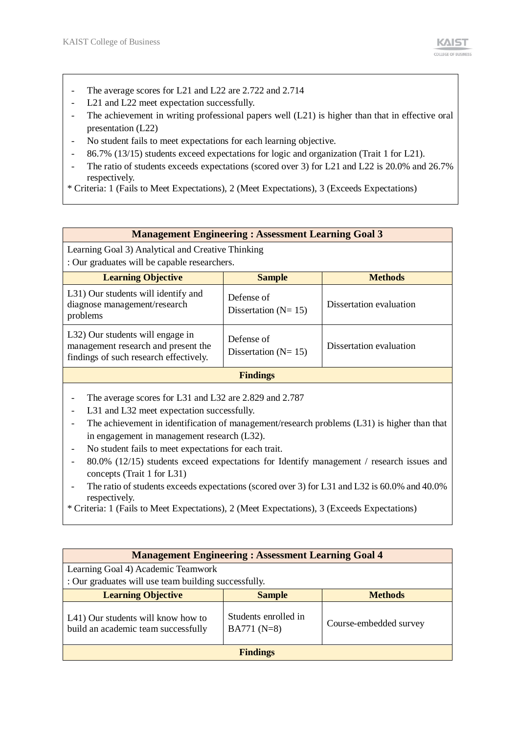- The average scores for L21 and L22 are 2.722 and 2.714
- L21 and L22 meet expectation successfully.
- The achievement in writing professional papers well (L21) is higher than that in effective oral presentation (L22)
- No student fails to meet expectations for each learning objective.
- 86.7% (13/15) students exceed expectations for logic and organization (Trait 1 for L21).
- The ratio of students exceeds expectations (scored over 3) for L21 and L22 is 20.0% and 26.7% respectively.
- \* Criteria: 1 (Fails to Meet Expectations), 2 (Meet Expectations), 3 (Exceeds Expectations)

|  |  |        | <b>Management Engineering: Assessment Learning Goal 3</b> |
|--|--|--------|-----------------------------------------------------------|
|  |  | ______ |                                                           |

Learning Goal 3) Analytical and Creative Thinking : Our graduates will be capable researchers.

| <b>Learning Objective</b>                                                                                         | <b>Sample</b>                           | <b>Methods</b>          |  |  |  |  |  |
|-------------------------------------------------------------------------------------------------------------------|-----------------------------------------|-------------------------|--|--|--|--|--|
| L31) Our students will identify and<br>diagnose management/research<br>problems                                   | Defense of<br>Dissertation ( $N = 15$ ) | Dissertation evaluation |  |  |  |  |  |
| L32) Our students will engage in<br>management research and present the<br>findings of such research effectively. | Defense of<br>Dissertation ( $N = 15$ ) | Dissertation evaluation |  |  |  |  |  |
| <b>Findings</b>                                                                                                   |                                         |                         |  |  |  |  |  |

- The average scores for L31 and L32 are 2.829 and 2.787
- L31 and L32 meet expectation successfully.
- The achievement in identification of management/research problems (L31) is higher than that in engagement in management research (L32).
- No student fails to meet expectations for each trait.
- 80.0% (12/15) students exceed expectations for Identify management / research issues and concepts (Trait 1 for L31)
- The ratio of students exceeds expectations (scored over 3) for L31 and L32 is 60.0% and 40.0% respectively.
- \* Criteria: 1 (Fails to Meet Expectations), 2 (Meet Expectations), 3 (Exceeds Expectations)

| <b>Management Engineering: Assessment Learning Goal 4</b>                 |                                      |                        |  |  |  |  |  |  |
|---------------------------------------------------------------------------|--------------------------------------|------------------------|--|--|--|--|--|--|
| Learning Goal 4) Academic Teamwork                                        |                                      |                        |  |  |  |  |  |  |
| : Our graduates will use team building successfully.                      |                                      |                        |  |  |  |  |  |  |
| <b>Learning Objective</b><br><b>Sample</b><br><b>Methods</b>              |                                      |                        |  |  |  |  |  |  |
| L41) Our students will know how to<br>build an academic team successfully | Students enrolled in<br>$BA771(N=8)$ | Course-embedded survey |  |  |  |  |  |  |
| <b>Findings</b>                                                           |                                      |                        |  |  |  |  |  |  |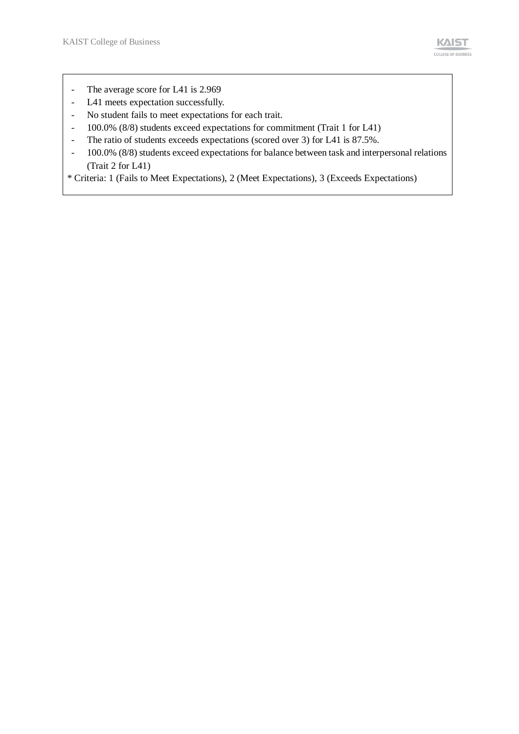- The average score for L41 is 2.969
- L41 meets expectation successfully.
- No student fails to meet expectations for each trait.
- 100.0% (8/8) students exceed expectations for commitment (Trait 1 for L41)
- The ratio of students exceeds expectations (scored over 3) for L41 is 87.5%.
- 100.0% (8/8) students exceed expectations for balance between task and interpersonal relations (Trait 2 for L41)

\* Criteria: 1 (Fails to Meet Expectations), 2 (Meet Expectations), 3 (Exceeds Expectations)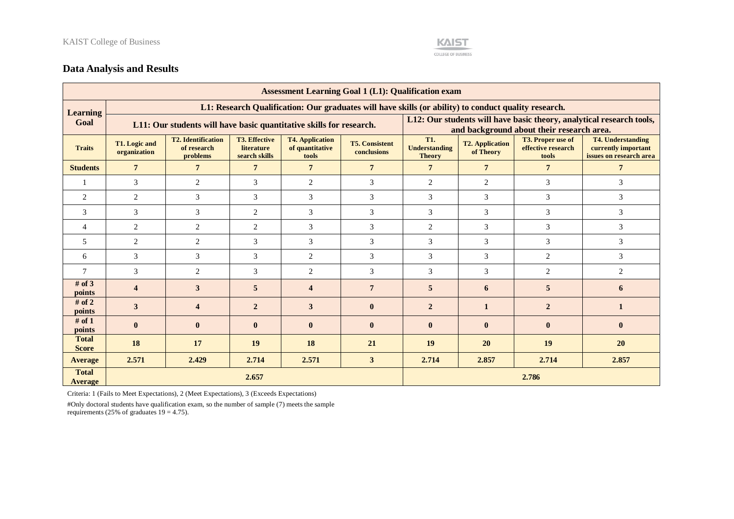

## **Data Analysis and Results**

| <b>Assessment Learning Goal 1 (L1): Qualification exam</b> |                               |                                                                                                      |                                                     |                                                    |                                      |                                                                                                                                                                                                                                     |                                           |                                                                      |                 |  |  |  |  |  |
|------------------------------------------------------------|-------------------------------|------------------------------------------------------------------------------------------------------|-----------------------------------------------------|----------------------------------------------------|--------------------------------------|-------------------------------------------------------------------------------------------------------------------------------------------------------------------------------------------------------------------------------------|-------------------------------------------|----------------------------------------------------------------------|-----------------|--|--|--|--|--|
| <b>Learning</b>                                            |                               | L1: Research Qualification: Our graduates will have skills (or ability) to conduct quality research. |                                                     |                                                    |                                      |                                                                                                                                                                                                                                     |                                           |                                                                      |                 |  |  |  |  |  |
| Goal                                                       |                               | L11: Our students will have basic quantitative skills for research.                                  |                                                     |                                                    |                                      |                                                                                                                                                                                                                                     | and background about their research area. | L12: Our students will have basic theory, analytical research tools, |                 |  |  |  |  |  |
| <b>Traits</b>                                              | T1. Logic and<br>organization | <b>T2.</b> Identification<br>of research<br>problems                                                 | <b>T3. Effective</b><br>literature<br>search skills | <b>T4. Application</b><br>of quantitative<br>tools | <b>T5. Consistent</b><br>conclusions | <b>T1.</b><br><b>T4. Understanding</b><br><b>T3. Proper use of</b><br><b>T2. Application</b><br><b>Understanding</b><br>effective research<br>currently important<br>of Theory<br>issues on research area<br><b>Theory</b><br>tools |                                           |                                                                      |                 |  |  |  |  |  |
| <b>Students</b>                                            | $7\phantom{.0}$               | $\overline{7}$                                                                                       | $7\phantom{.0}$                                     | $\overline{7}$                                     | $7\phantom{.0}$                      | $\overline{7}$                                                                                                                                                                                                                      | $\overline{7}$                            | $7\phantom{.0}$                                                      | $7\phantom{.0}$ |  |  |  |  |  |
|                                                            | 3                             | 2                                                                                                    | 3                                                   | $\overline{c}$                                     | 3                                    | 2                                                                                                                                                                                                                                   | 2                                         | 3                                                                    | 3               |  |  |  |  |  |
| 2                                                          | 2                             | 3                                                                                                    | 3                                                   | 3                                                  | 3                                    | 3                                                                                                                                                                                                                                   | 3                                         | 3                                                                    | 3               |  |  |  |  |  |
| 3                                                          | 3                             | 3                                                                                                    | $\mathfrak{2}$                                      | 3                                                  | 3                                    | 3                                                                                                                                                                                                                                   | $\mathfrak{Z}$                            | 3                                                                    | 3               |  |  |  |  |  |
| 4                                                          | $\mathbf{2}$                  | $\mathbf{2}$                                                                                         | $\overline{c}$                                      | 3                                                  | 3                                    | $\overline{c}$                                                                                                                                                                                                                      | $\mathfrak{Z}$                            | 3                                                                    | 3               |  |  |  |  |  |
| 5                                                          | 2                             | $\mathbf{2}$                                                                                         | 3                                                   | 3                                                  | 3                                    | 3                                                                                                                                                                                                                                   | 3                                         | 3                                                                    | 3               |  |  |  |  |  |
| 6                                                          | 3                             | 3                                                                                                    | 3                                                   | $\overline{c}$                                     | 3                                    | 3                                                                                                                                                                                                                                   | 3                                         | 2                                                                    | 3               |  |  |  |  |  |
| $\overline{7}$                                             | 3                             | 2                                                                                                    | 3                                                   | $\overline{2}$                                     | 3                                    | 3                                                                                                                                                                                                                                   | 3                                         | 2                                                                    | $\overline{2}$  |  |  |  |  |  |
| # of $3$<br>points                                         | $\overline{\mathbf{4}}$       | 3                                                                                                    | $\overline{5}$                                      | $\overline{\mathbf{4}}$                            | $\overline{7}$                       | 5                                                                                                                                                                                                                                   | 6                                         | 5                                                                    | 6               |  |  |  |  |  |
| # of $2$<br>points                                         | 3                             | $\overline{\mathbf{4}}$                                                                              | $\overline{2}$                                      | 3                                                  | $\bf{0}$                             | $\overline{2}$                                                                                                                                                                                                                      | 1                                         | $\overline{2}$                                                       | $\mathbf{1}$    |  |  |  |  |  |
| # of $1$<br>points                                         | $\bf{0}$                      | $\bf{0}$                                                                                             | $\bf{0}$                                            | $\bf{0}$                                           | $\bf{0}$                             | $\bf{0}$                                                                                                                                                                                                                            | $\bf{0}$<br>$\bf{0}$                      |                                                                      | $\bf{0}$        |  |  |  |  |  |
| <b>Total</b><br><b>Score</b>                               | 18                            | 17                                                                                                   | 19                                                  | 18                                                 | 21                                   | 19                                                                                                                                                                                                                                  | 19<br>20<br><b>20</b>                     |                                                                      |                 |  |  |  |  |  |
| Average                                                    | 2.571                         | 2.429                                                                                                | 2.714                                               | 2.571                                              | 3                                    | 2.714                                                                                                                                                                                                                               | 2.857                                     | 2.714                                                                | 2.857           |  |  |  |  |  |
| <b>Total</b><br><b>Average</b>                             | 2.786<br>2.657                |                                                                                                      |                                                     |                                                    |                                      |                                                                                                                                                                                                                                     |                                           |                                                                      |                 |  |  |  |  |  |

Criteria: 1 (Fails to Meet Expectations), 2 (Meet Expectations), 3 (Exceeds Expectations)

#Only doctoral students have qualification exam, so the number of sample (7) meets the sample requirements (25% of graduates  $19 = 4.75$ ).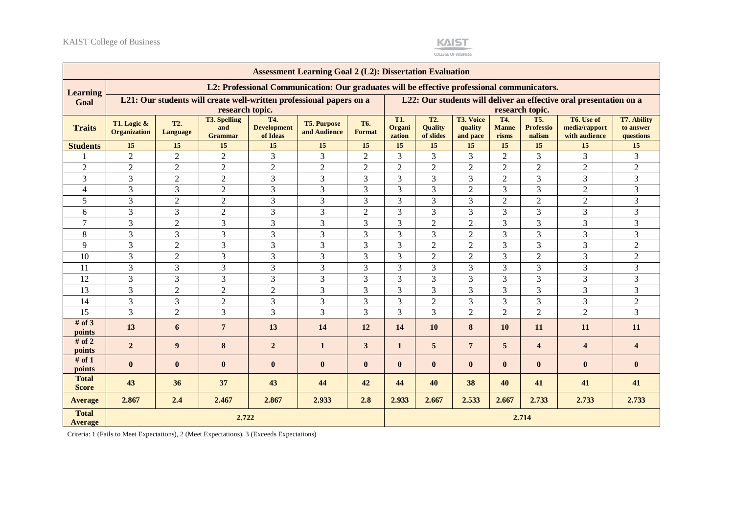

COLLEGE OF BUSINESS

|                                | <b>Assessment Learning Goal 2 (L2): Dissertation Evaluation</b> |                                                                     |                                              |                                       |                                                                                             |                            |                                |                                                                    |                                         |                              |                                          |                                              |                                              |
|--------------------------------|-----------------------------------------------------------------|---------------------------------------------------------------------|----------------------------------------------|---------------------------------------|---------------------------------------------------------------------------------------------|----------------------------|--------------------------------|--------------------------------------------------------------------|-----------------------------------------|------------------------------|------------------------------------------|----------------------------------------------|----------------------------------------------|
| <b>Learning</b>                |                                                                 |                                                                     |                                              |                                       | L2: Professional Communication: Our graduates will be effective professional communicators. |                            |                                |                                                                    |                                         |                              |                                          |                                              |                                              |
| Goal                           |                                                                 | L21: Our students will create well-written professional papers on a |                                              |                                       |                                                                                             |                            |                                | L22: Our students will deliver an effective oral presentation on a |                                         |                              |                                          |                                              |                                              |
|                                |                                                                 |                                                                     | research topic.                              |                                       |                                                                                             |                            |                                |                                                                    |                                         |                              | research topic.                          |                                              |                                              |
| <b>Traits</b>                  | T1. Logic &<br><b>Organization</b>                              | T2.<br>Language                                                     | <b>T3. Spelling</b><br>and<br><b>Grammar</b> | T4.<br><b>Development</b><br>of Ideas | <b>T5. Purpose</b><br>and Audience                                                          | T <sub>6</sub> .<br>Format | <b>T1.</b><br>Organi<br>zation | T <sub>2</sub> .<br><b>Ouality</b><br>of slides                    | <b>T3. Voice</b><br>quality<br>and pace | T4.<br><b>Manne</b><br>risms | <b>T5.</b><br><b>Professio</b><br>nalism | T6. Use of<br>media/rapport<br>with audience | <b>T7. Ability</b><br>to answer<br>questions |
| <b>Students</b>                | 15                                                              | 15                                                                  | 15                                           | 15                                    | 15                                                                                          | 15                         | 15                             | 15                                                                 | 15                                      | 15                           | 15                                       | 15                                           | 15                                           |
|                                | $\overline{2}$                                                  | $\overline{2}$                                                      | $\overline{2}$                               | 3                                     | 3                                                                                           | $\overline{2}$             | 3                              | 3                                                                  | 3                                       | $\overline{2}$               | 3                                        | $\overline{3}$                               | 3                                            |
| $\overline{2}$                 | $\overline{2}$                                                  | $\sqrt{2}$                                                          | $\overline{2}$                               | $\overline{2}$                        | $\overline{2}$                                                                              | $\overline{c}$             | $\overline{2}$                 | $\sqrt{2}$                                                         | $\overline{2}$                          | $\overline{2}$               | $\overline{2}$                           | $\overline{2}$                               | $\overline{c}$                               |
| 3                              | 3                                                               | $\overline{2}$                                                      | $\overline{2}$                               | 3                                     | 3                                                                                           | 3                          | 3                              | 3                                                                  | $\overline{3}$                          | $\overline{2}$               | 3                                        | 3                                            | 3                                            |
| $\overline{4}$                 | 3                                                               | 3                                                                   | $\overline{2}$                               | 3                                     | 3                                                                                           | 3                          | 3                              | 3                                                                  | $\overline{2}$                          | 3                            | 3                                        | $\overline{2}$                               | 3                                            |
| 5                              | 3                                                               | $\overline{2}$                                                      | $\sqrt{2}$                                   | 3                                     | 3                                                                                           | 3                          | 3                              | 3                                                                  | 3                                       | $\overline{2}$               | $\overline{2}$                           | $\overline{2}$                               | 3                                            |
| 6                              | 3                                                               | 3                                                                   | $\overline{2}$                               | 3                                     | 3                                                                                           | $\overline{2}$             | 3                              | 3                                                                  | 3                                       | 3                            | 3                                        | 3                                            | 3                                            |
| $\tau$                         | 3                                                               | $\overline{2}$                                                      | 3                                            | 3                                     | 3                                                                                           | 3                          | 3                              | $\overline{2}$                                                     | $\overline{2}$                          | 3                            | 3                                        | 3                                            | 3                                            |
| 8                              | 3                                                               | 3                                                                   | $\overline{3}$                               | $\overline{3}$                        | 3                                                                                           | 3                          | 3                              | 3                                                                  | $\overline{2}$                          | 3                            | 3                                        | 3                                            | 3                                            |
| 9                              | 3                                                               | $\sqrt{2}$                                                          | 3                                            | 3                                     | 3                                                                                           | 3                          | 3                              | $\sqrt{2}$                                                         | $\overline{2}$                          | 3                            | 3                                        | $\overline{3}$                               | $\overline{c}$                               |
| 10                             | 3                                                               | $\overline{2}$                                                      | 3                                            | 3                                     | 3                                                                                           | 3                          | 3                              | $\overline{2}$                                                     | $\overline{2}$                          | 3                            | $\overline{2}$                           | 3                                            | $\overline{2}$                               |
| 11                             | $\overline{3}$                                                  | 3                                                                   | 3                                            | $\mathfrak{Z}$                        | 3                                                                                           | 3                          | 3                              | 3                                                                  | 3                                       | 3                            | 3                                        | 3                                            | 3                                            |
| 12                             | 3                                                               | 3                                                                   | 3                                            | $\mathfrak{Z}$                        | 3                                                                                           | 3                          | 3                              | 3                                                                  | 3                                       | 3                            | 3                                        | 3                                            | 3                                            |
| 13                             | 3                                                               | $\overline{2}$                                                      | $\overline{2}$                               | $\overline{2}$                        | 3                                                                                           | 3                          | 3                              | 3                                                                  | $\overline{3}$                          | 3                            | 3                                        | $\overline{3}$                               | 3                                            |
| 14                             | 3                                                               | 3                                                                   | $\overline{2}$                               | 3                                     | 3                                                                                           | 3                          | 3                              | $\overline{2}$                                                     | $\overline{3}$                          | 3                            | 3                                        | 3                                            | $\overline{2}$                               |
| 15                             | 3                                                               | $\overline{2}$                                                      | $\overline{3}$                               | $\overline{3}$                        | $\overline{3}$                                                                              | 3                          | 3                              | 3                                                                  | $\overline{2}$                          | $\overline{2}$               | $\overline{2}$                           | $\overline{2}$                               | 3                                            |
| # of $3$<br>points             | 13                                                              | 6                                                                   | $7\phantom{.}$                               | 13                                    | 14                                                                                          | 12                         | 14                             | 10                                                                 | 8                                       | 10                           | 11                                       | 11                                           | 11                                           |
| # of $2$<br>points             | $\overline{2}$                                                  | 9                                                                   | $\bf{8}$                                     | $\overline{2}$                        | $\mathbf{1}$                                                                                | $\mathbf{3}$               | 1                              | $\sqrt{5}$                                                         | $\overline{7}$                          | $5\phantom{.0}$              | $\overline{\mathbf{4}}$                  | $\overline{\mathbf{4}}$                      | $\overline{\mathbf{4}}$                      |
| # of $1$<br>points             | $\bf{0}$                                                        | $\bf{0}$                                                            | $\bf{0}$                                     | $\bf{0}$                              | $\bf{0}$                                                                                    | $\bf{0}$                   | $\bf{0}$                       | $\bf{0}$                                                           | $\mathbf{0}$                            | $\mathbf{0}$                 | $\bf{0}$                                 | $\bf{0}$                                     | $\mathbf{0}$                                 |
| <b>Total</b><br><b>Score</b>   | 43                                                              | 36                                                                  | 37                                           | 43                                    | 44                                                                                          | 42                         | 44                             | 40                                                                 | 38                                      | 40                           | 41                                       | 41                                           | 41                                           |
| <b>Average</b>                 | 2.867                                                           | 2.4                                                                 | 2.467                                        | 2.867                                 | 2.933                                                                                       | 2.8                        | 2.933                          | 2.667                                                              | 2.533                                   | 2.667                        | 2.733                                    | 2.733                                        | 2.733                                        |
| <b>Total</b><br><b>Average</b> | 2.722                                                           |                                                                     |                                              |                                       |                                                                                             |                            |                                |                                                                    |                                         |                              | 2.714                                    |                                              |                                              |

Criteria: 1 (Fails to Meet Expectations), 2 (Meet Expectations), 3 (Exceeds Expectations)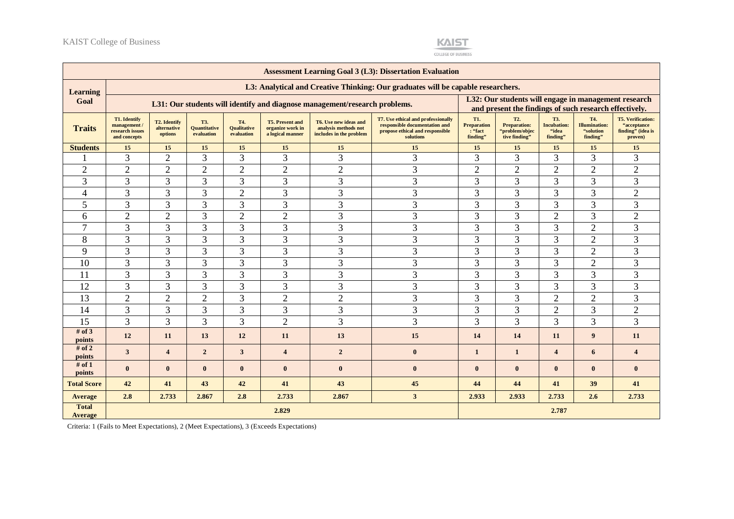

COLLEGE OF BUSINESS

| <b>Assessment Learning Goal 3 (L3): Dissertation Evaluation</b> |                                                                 |                                               |                                          |                                         |                                                                |                                                                            |                                                                                                                            |                                                                                                                |                                                                            |                                                |                                                       |                                                                          |
|-----------------------------------------------------------------|-----------------------------------------------------------------|-----------------------------------------------|------------------------------------------|-----------------------------------------|----------------------------------------------------------------|----------------------------------------------------------------------------|----------------------------------------------------------------------------------------------------------------------------|----------------------------------------------------------------------------------------------------------------|----------------------------------------------------------------------------|------------------------------------------------|-------------------------------------------------------|--------------------------------------------------------------------------|
| <b>Learning</b>                                                 |                                                                 |                                               |                                          |                                         |                                                                |                                                                            | L3: Analytical and Creative Thinking: Our graduates will be capable researchers.                                           |                                                                                                                |                                                                            |                                                |                                                       |                                                                          |
| Goal                                                            |                                                                 |                                               |                                          |                                         |                                                                | L31: Our students will identify and diagnose management/research problems. |                                                                                                                            | L32: Our students will engage in management research<br>and present the findings of such research effectively. |                                                                            |                                                |                                                       |                                                                          |
| <b>Traits</b>                                                   | T1. Identify<br>management /<br>research issues<br>and concepts | <b>T2. Identify</b><br>alternative<br>options | T3.<br><b>Quantitative</b><br>evaluation | T4.<br><b>Qualitative</b><br>evaluation | <b>T5. Present and</b><br>organize work in<br>a logical manner | T6. Use new ideas and<br>analysis methods not<br>includes in the problem   | <b>T7. Use ethical and professionally</b><br>responsible documentation and<br>propose ethical and responsible<br>solutions | T1.<br><b>Preparation</b><br>: "fact<br>finding"                                                               | T <sub>2</sub> .<br><b>Preparation:</b><br>"problem/objec<br>tive finding" | T3.<br><b>Incubation:</b><br>"idea<br>finding" | T4.<br><b>Illumination:</b><br>"solution"<br>finding" | <b>T5. Verification:</b><br>"acceptance"<br>finding" (idea is<br>proven) |
| <b>Students</b>                                                 | 15                                                              | 15                                            | 15                                       | 15                                      | 15                                                             | 15                                                                         | 15                                                                                                                         | 15                                                                                                             | 15                                                                         | 15                                             | 15                                                    | 15                                                                       |
|                                                                 | 3                                                               | $\overline{2}$                                | 3                                        | 3                                       | 3                                                              | 3                                                                          | 3                                                                                                                          | 3                                                                                                              | 3                                                                          | 3                                              | 3                                                     | 3                                                                        |
| $\mathfrak{2}$                                                  | $\sqrt{2}$                                                      | $\overline{2}$                                | $\boldsymbol{2}$                         | $\mathfrak{2}$                          | $\mathbf{2}$                                                   | $\mathfrak{2}$                                                             | 3                                                                                                                          | $\overline{c}$                                                                                                 | $\sqrt{2}$                                                                 | $\overline{2}$                                 | $\mathbf{2}$                                          | $\overline{2}$                                                           |
| 3                                                               | 3                                                               | 3                                             | 3                                        | 3                                       | 3                                                              | 3                                                                          | 3                                                                                                                          | 3                                                                                                              | 3                                                                          | 3                                              | 3                                                     | 3                                                                        |
| $\overline{4}$                                                  | 3                                                               | 3                                             | 3                                        | $\overline{2}$                          | 3                                                              | 3                                                                          | 3                                                                                                                          | 3                                                                                                              | 3                                                                          | 3                                              | 3                                                     | $\overline{2}$                                                           |
| 5                                                               | 3                                                               | 3                                             | 3                                        | 3                                       | 3                                                              | 3                                                                          | 3                                                                                                                          | 3                                                                                                              | 3                                                                          | 3                                              | 3                                                     | 3                                                                        |
| 6                                                               | $\overline{2}$                                                  | $\overline{2}$                                | 3                                        | $\overline{2}$                          | $\overline{2}$                                                 | 3                                                                          | 3                                                                                                                          | 3                                                                                                              | 3                                                                          | $\overline{2}$                                 | 3                                                     | $\overline{2}$                                                           |
| $\overline{7}$                                                  | 3                                                               | 3                                             | 3                                        | $\mathfrak{Z}$                          | 3                                                              | 3                                                                          | 3                                                                                                                          | 3                                                                                                              | 3                                                                          | 3                                              | $\overline{2}$                                        | 3                                                                        |
| 8                                                               | 3                                                               | 3                                             | 3                                        | 3                                       | 3                                                              | 3                                                                          | 3                                                                                                                          | 3                                                                                                              | 3                                                                          | 3                                              | $\mathfrak{2}$                                        | 3                                                                        |
| 9                                                               | $\overline{3}$                                                  | 3                                             | 3                                        | $\overline{3}$                          | 3                                                              | 3                                                                          | 3                                                                                                                          | 3                                                                                                              | 3                                                                          | 3                                              | $\overline{2}$                                        | 3                                                                        |
| 10                                                              | 3                                                               | 3                                             | 3                                        | 3                                       | 3                                                              | 3                                                                          | 3                                                                                                                          | 3                                                                                                              | 3                                                                          | 3                                              | $\overline{2}$                                        | 3                                                                        |
| 11                                                              | 3                                                               | 3                                             | 3                                        | 3                                       | 3                                                              | 3                                                                          | 3                                                                                                                          | 3                                                                                                              | 3                                                                          | 3                                              | 3                                                     | 3                                                                        |
| 12                                                              | $\overline{3}$                                                  | 3                                             | 3                                        | 3                                       | 3                                                              | 3                                                                          | 3                                                                                                                          | 3                                                                                                              | 3                                                                          | 3                                              | 3                                                     | 3                                                                        |
| 13                                                              | $\overline{2}$                                                  | $\overline{2}$                                | $\overline{2}$                           | 3                                       | $\overline{2}$                                                 | $\overline{2}$                                                             | 3                                                                                                                          | 3                                                                                                              | 3                                                                          | $\overline{2}$                                 | $\overline{2}$                                        | 3                                                                        |
| 14                                                              | 3                                                               | 3                                             | 3                                        | 3                                       | 3                                                              | 3                                                                          | 3                                                                                                                          | 3                                                                                                              | 3                                                                          | $\overline{2}$                                 | 3                                                     | $\overline{2}$                                                           |
| 15                                                              | $\overline{3}$                                                  | 3                                             | 3                                        | 3                                       | $\overline{2}$                                                 | 3                                                                          | 3                                                                                                                          | 3                                                                                                              | 3                                                                          | 3                                              | 3                                                     | 3                                                                        |
| # of $3$<br>points                                              | 12                                                              | 11                                            | 13                                       | 12                                      | 11                                                             | 13                                                                         | 15                                                                                                                         | 14                                                                                                             | 14                                                                         | 11                                             | 9                                                     | 11                                                                       |
| # of 2<br>points                                                | 3                                                               | $\overline{4}$                                | $\overline{2}$                           | 3                                       | $\overline{4}$                                                 | $\overline{2}$                                                             | $\bf{0}$                                                                                                                   | $\mathbf{1}$                                                                                                   | $\mathbf{1}$                                                               | $\boldsymbol{4}$                               | 6                                                     | $\overline{\mathbf{4}}$                                                  |
| # of $1$<br>points                                              | $\bf{0}$                                                        | $\bf{0}$                                      | $\bf{0}$                                 | $\bf{0}$                                | $\mathbf{0}$                                                   | $\bf{0}$                                                                   | $\bf{0}$                                                                                                                   | $\bf{0}$                                                                                                       | $\bf{0}$                                                                   | $\bf{0}$                                       | $\bf{0}$                                              | $\bf{0}$                                                                 |
| <b>Total Score</b>                                              | 42                                                              | 41                                            | 43                                       | 42                                      | 41                                                             | 43                                                                         | 45                                                                                                                         | 44                                                                                                             | 44                                                                         | 41                                             | 39                                                    | 41                                                                       |
| <b>Average</b>                                                  | 2.8                                                             | 2.733                                         | 2.867                                    | 2.8                                     | 2.733                                                          | 2.867                                                                      | 3 <sup>1</sup>                                                                                                             | 2.933                                                                                                          | 2.933                                                                      | 2.733                                          | 2.6                                                   | 2.733                                                                    |
| <b>Total</b><br><b>Average</b>                                  |                                                                 |                                               |                                          |                                         |                                                                |                                                                            |                                                                                                                            | 2.787                                                                                                          |                                                                            |                                                |                                                       |                                                                          |

Criteria: 1 (Fails to Meet Expectations), 2 (Meet Expectations), 3 (Exceeds Expectations)